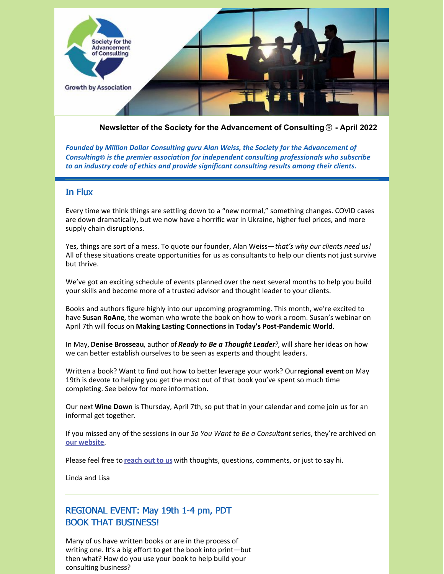

**Newsletter of the Society for the Advancement of Consulting**® **- April 2022**

*Founded by Million Dollar Consulting guru Alan Weiss, the Society for the Advancement of Consulting*® *is the premier association for independent consulting professionals who subscribe to an industry code of ethics and provide significant consulting results among their clients.*

### In Flux

Every time we think things are settling down to a "new normal," something changes. COVID cases are down dramatically, but we now have a horrific war in Ukraine, higher fuel prices, and more supply chain disruptions.

Yes, things are sort of a mess. To quote our founder, Alan Weiss—*that's why our clients need us!* All of these situations create opportunities for us as consultants to help our clients not just survive but thrive.

We've got an exciting schedule of events planned over the next several months to help you build your skills and become more of a trusted advisor and thought leader to your clients.

Books and authors figure highly into our upcoming programming. This month, we're excited to have **Susan RoAne**, the woman who wrote the book on how to work a room. Susan's webinar on April 7th will focus on **Making Lasting Connections in Today's Post-Pandemic World**.

In May, **Denise Brosseau**, author of *Ready to Be a Thought Leader?*, will share her ideas on how we can better establish ourselves to be seen as experts and thought leaders.

Written a book? Want to find out how to better leverage your work? Our**regional event** on May 19th is devote to helping you get the most out of that book you've spent so much time completing. See below for more information.

Our next **Wine Down** is Thursday, April 7th, so put that in your calendar and come join us for an informal get together.

If you missed any of the sessions in our *So You Want to Be a Consultant*series, they're archived on **our [website](https://consultingsociety.com/reinvent-for-success-webinars/)**.

Please feel free to **[reach](mailto:info@consultingsociety.com) out to us** with thoughts, questions, comments, or just to say hi.

Linda and Lisa

## REGIONAL EVENT: May 19th 1-4 pm, PDT BOOK THAT BUSINESS!

Many of us have written books or are in the process of writing one. It's a big effort to get the book into print—but then what? How do you use your book to help build your consulting business?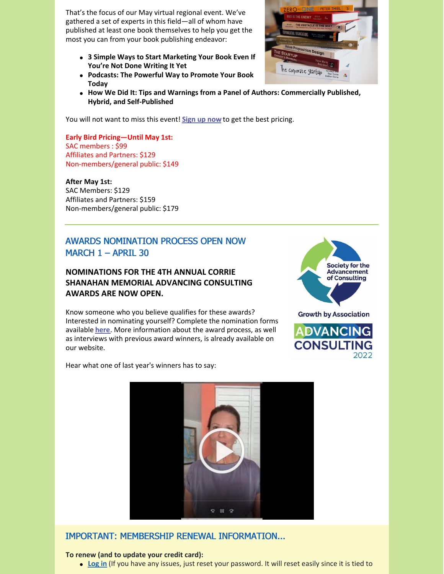That's the focus of our May virtual regional event. We've gathered a set of experts in this field—all of whom have published at least one book themselves to help you get the most you can from your book publishing endeavor:

- **3 Simple Ways to Start Marketing Your Book Even If You're Not Done Writing It Yet**
- **Podcasts: The Powerful Way to Promote Your Book Today**
- **How We Did It: Tips and Warnings from a Panel of Authors: Commercially Published, Hybrid, and Self-Published**

You will not want to miss this event! **[Sign](https://consultingsociety.com/sac-regional-meeting-may-19-2022) up now** to get the best pricing.

**Early Bird Pricing—Until May 1st:** SAC members : \$99 Affiliates and Partners: \$129 Non-members/general public: \$149

#### **After May 1st:**

SAC Members: \$129 Affiliates and Partners: \$159 Non-members/general public: \$179

### AWARDS NOMINATION PROCESS OPEN NOW MARCH 1 – APRIL 30

### **NOMINATIONS FOR THE 4TH ANNUAL CORRIE SHANAHAN MEMORIAL ADVANCING CONSULTING AWARDS ARE NOW OPEN.**

Know someone who you believe qualifies for these awards? Interested in nominating yourself? Complete the nomination forms available **[here](https://consultingsociety.com/programs-events/advancing-consulting-award/)**. More information about the award process, as well as interviews with previous award winners, is already available on our website.





Hear what one of last year's winners has to say:



### IMPORTANT: MEMBERSHIP RENEWAL INFORMATION...

#### **To renew (and to update your credit card):**

**[Log](https://consultingsociety.com/) in** (If you have any issues, just reset your password. It will reset easily since it is tied to

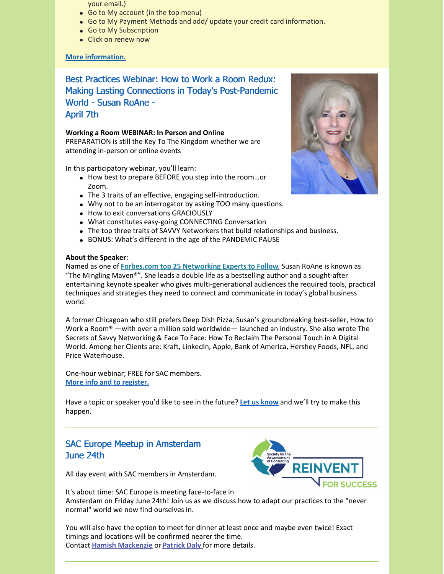- your email.)
- Go to My account (in the top menu)
- Go to My Payment Methods and add/ update your credit card information.
- Go to My Subscription
- Click on renew now

#### **More [information.](https://consultingsociety.com/membership/membership-types)**

Best Practices Webinar: How to Work a Room Redux: Making Lasting Connections in Today's Post-Pandemic World - Susan RoAne - April 7th

#### **Working a Room WEBINAR: In Person and Online**

PREPARATION is still the Key To The Kingdom whether we are attending in-person or online events

In this participatory webinar, you'll learn:

- How best to prepare BEFORE you step into the room...or Zoom.
- The 3 traits of an effective, engaging self-introduction.
- Why not to be an interrogator by asking TOO many questions.
- How to exit conversations GRACIOUSLY
- What constitutes easy-going CONNECTING Conversation
- The top three traits of SAVVY Networkers that build relationships and business.
- BONUS: What's different in the age of the PANDEMIC PAUSE

#### **About the Speaker:**

Named as one of **Forbes.com top 25 [Networking](https://www.forbes.com/sites/johncorcoran/2015/01/08/25-professional-networking-experts-to-watch-in-2015/?sh=70bb843130bb) Experts to Follow**, Susan RoAne is known as "The Mingling Maven®". She leads a double life as a bestselling author and a sought-after entertaining keynote speaker who gives multi-generational audiences the required tools, practical techniques and strategies they need to connect and communicate in today's global business world.

A former Chicagoan who still prefers Deep Dish Pizza, Susan's groundbreaking best-seller, How to Work a Room® —with over a million sold worldwide— launched an industry. She also wrote The Secrets of Savvy Networking & Face To Face: How To Reclaim The Personal Touch in A Digital World. Among her Clients are: Kraft, LinkedIn, Apple, Bank of America, Hershey Foods, NFL, and Price Waterhouse.

One-hour webinar; FREE for SAC members. **More info and to [register.](https://consultingsociety.com/programs-events/best-practices-webinars/#roane-0422)**

Have a topic or speaker you'd like to see in the future? **Let us [know](mailto:info@consultingsociety.com)** and we'll try to make this happen.

## SAC Europe Meetup in Amsterdam June 24th



All day event with SAC members in Amsterdam.

It's about time: SAC Europe is meeting face-to-face in Amsterdam on Friday June 24th! Join us as we discuss how to adapt our practices to the "never normal" world we now find ourselves in.

You will also have the option to meet for dinner at least once and maybe even twice! Exact timings and locations will be confirmed nearer the time. Contact **Hamish [Mackenzie](mailto:hm@hamishmackenzie.com)** or **[Patrick](mailto:pdaly@albalogistics.com) Daly** for more details.

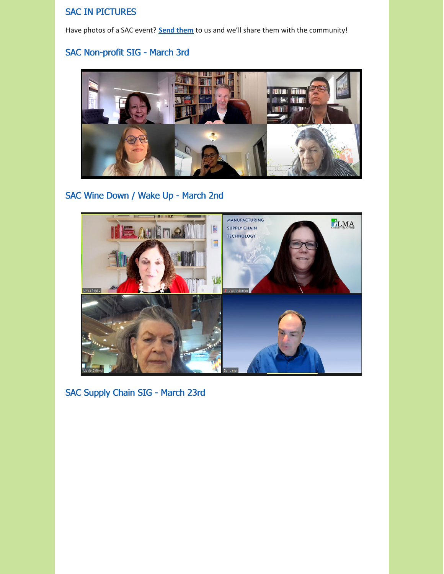## SAC IN PICTURES

Have photos of a SAC event? **Send [them](mailto:info@consultingsociety.com)** to us and we'll share them with the community!

# SAC Non-profit SIG - March 3rd



# SAC Wine Down / Wake Up - March 2nd



SAC Supply Chain SIG - March 23rd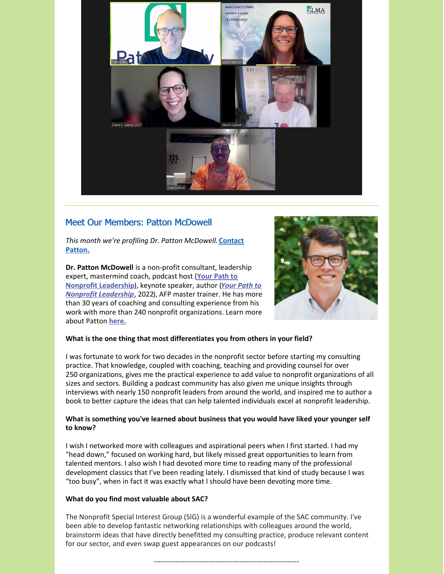

## Meet Our Members: Patton McDowell

*This month we're profiling Dr. Patton [McDowell.](https://consultingsociety.com/user/pm/)* **Contact Patton.**

**Dr. Patton McDowell** is a non-profit consultant, leadership expert, [mastermind](https://www.podpage.com/your-path-to-nonprofit-leadership/) coach, podcast host (**Your Path to Nonprofit [Leadership](https://www.pattonmcdowell.com/book/)**), keynote speaker, author (*Your Path to Nonprofit Leadership*, 2022), AFP master trainer. He has more than 30 years of coaching and consulting experience from his work with more than 240 nonprofit organizations. Learn more about Patton **[here.](https://www.pattonmcdowell.com)**



#### **What is the one thing that most differentiates you from others in your field?**

I was fortunate to work for two decades in the nonprofit sector before starting my consulting practice. That knowledge, coupled with coaching, teaching and providing counsel for over 250 organizations, gives me the practical experience to add value to nonprofit organizations of all sizes and sectors. Building a podcast community has also given me unique insights through interviews with nearly 150 nonprofit leaders from around the world, and inspired me to author a book to better capture the ideas that can help talented individuals excel at nonprofit leadership.

#### **What is something you've learned about business that you would have liked your younger self to know?**

I wish I networked more with colleagues and aspirational peers when I first started. I had my "head down," focused on working hard, but likely missed great opportunities to learn from talented mentors. I also wish I had devoted more time to reading many of the professional development classics that I've been reading lately. I dismissed that kind of study because I was "too busy", when in fact it was exactly what I should have been devoting more time.

#### **What do you find most valuable about SAC?**

The Nonprofit Special Interest Group (SIG) is a wonderful example of the SAC community. I've been able to develop fantastic networking relationships with colleagues around the world, brainstorm ideas that have directly benefitted my consulting practice, produce relevant content for our sector, and even swap guest appearances on our podcasts!

-------------------------------------------------------------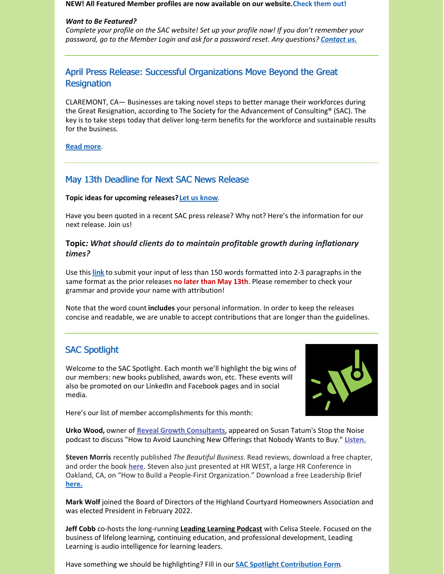#### **NEW! All Featured Member profiles are now available on our website.Check them out!**

#### *Want to Be Featured?*

*Complete your profile on the SAC website! Set up your profile now! If you don't remember your password, go to the Member Login and ask for a password reset. Any questions? [Contact](mailto:info@consultingsociety.com) us.*

## April Press Release: Successful Organizations Move Beyond the Great **Resignation**

CLAREMONT, CA— Businesses are taking novel steps to better manage their workforces during the Great Resignation, according to The Society for the Advancement of Consulting® (SAC). The key is to take steps today that deliver long-term benefits for the workforce and sustainable results for the business.

#### **[Read](https://consultingsociety.com/news_release-4-2-22/) more**.

## May 13th Deadline for Next SAC News Release

#### **Topic ideas for upcoming releases?Let us [know](mailto:info@consultingsociety.com)**.

Have you been quoted in a recent SAC press release? Why not? Here's the information for our next release. Join us!

### **Topic***: What should clients do to maintain profitable growth during inflationary times?*

Use this **[link](https://consultingsociety.com/press-release-contribution/)** to submit your input of less than 150 words formatted into 2-3 paragraphs in the same format as the prior releases **no later than May 13th**. Please remember to check your grammar and provide your name with attribution!

Note that the word count **includes** your personal information. In order to keep the releases concise and readable, we are unable to accept contributions that are longer than the guidelines.

# SAC Spotlight

Welcome to the SAC Spotlight. Each month we'll highlight the big wins of our members: new books published, awards won, etc. These events will also be promoted on our LinkedIn and Facebook pages and in social media.



Here's our list of member accomplishments for this month:

**Urko Wood,** owner of **Reveal Growth [Consultants](https://revealgrowth.com/)**, appeared on Susan Tatum's Stop the Noise podcast to discuss "How to Avoid Launching New Offerings that Nobody Wants to Buy." **[Listen.](https://www.stopthenoisepodcast.com/post/how-to-avoid-launching-new-offerings-that-nobody-wants-to-buy)**

**Steven Morris** recently published *The Beautiful Business*. Read reviews, download a free chapter, and order the book **[here](https://the-beautiful-business.com/)**. Steven also just presented at HR WEST, a large HR Conference in Oakland, CA, on "How to Build a People-First Organization." Download a free Leadership Brief **[here.](https://matterco.co/people-first/)**

**Mark Wolf** joined the Board of Directors of the Highland Courtyard Homeowners Association and was elected President in February 2022.

**Jeff Cobb** co-hosts the long-running **Leading [Learning](https://www.leadinglearning.com/podcast/) Podcast** with Celisa Steele. Focused on the business of lifelong learning, continuing education, and professional development, Leading Learning is audio intelligence for learning leaders.

Have something we should be highlighting? Fill in our **SAC Spotlight [Contribution](https://consultingsociety.com/sac-spotlight/) Form**.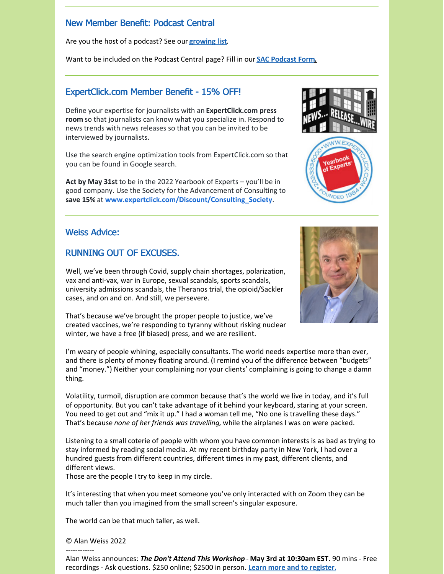## New Member Benefit: Podcast Central

Are you the host of a podcast? See our **[growing](https://consultingsociety.com/resources/podcast-central/) list**.

Want to be included on the Podcast Central page? Fill in our **SAC [Podcast](https://consultingsociety.com/podcast-central-contribution-form/) For[m.](https://consultingsociety.com/podcast-central-contribution-form/)**

### ExpertClick.com Member Benefit - 15% OFF!

Define your expertise for journalists with an **ExpertClick.com press room** so that journalists can know what you specialize in. Respond to news trends with news releases so that you can be invited to be interviewed by journalists.

Use the search engine optimization tools from ExpertClick.com so that you can be found in Google search.

**Act by May 31st** to be in the 2022 Yearbook of Experts – you'll be in good company. Use the Society for the Advancement of Consulting to **save 15%** at **[www.expertclick.com/Discount/Consulting\\_Society](https://www.expertclick.com/Discount/Consulting_Society)**.

### Weiss Advice:

### RUNNING OUT OF EXCUSES.

Well, we've been through Covid, supply chain shortages, polarization, vax and anti-vax, war in Europe, sexual scandals, sports scandals, university admissions scandals, the Theranos trial, the opioid/Sackler cases, and on and on. And still, we persevere.

That's because we've brought the proper people to justice, we've created vaccines, we're responding to tyranny without risking nuclear winter, we have a free (if biased) press, and we are resilient.

I'm weary of people whining, especially consultants. The world needs expertise more than ever, and there is plenty of money floating around. (I remind you of the difference between "budgets" and "money.") Neither your complaining nor your clients' complaining is going to change a damn thing.

Volatility, turmoil, disruption are common because that's the world we live in today, and it's full of opportunity. But you can't take advantage of it behind your keyboard, staring at your screen. You need to get out and "mix it up." I had a woman tell me, "No one is travelling these days." That's because *none of her friends was travelling,* while the airplanes I was on were packed.

Listening to a small coterie of people with whom you have common interests is as bad as trying to stay informed by reading social media. At my recent birthday party in New York, I had over a hundred guests from different countries, different times in my past, different clients, and different views.

Those are the people I try to keep in my circle.

It's interesting that when you meet someone you've only interacted with on Zoom they can be much taller than you imagined from the small screen's singular exposure.

The world can be that much taller, as well.

#### © Alan Weiss 2022

------------





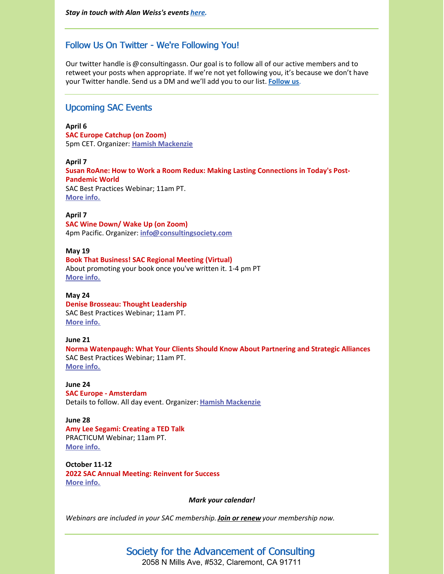## Follow Us On Twitter - We're Following You!

Our twitter handle is @consultingassn. Our goal is to follow all of our active members and to retweet your posts when appropriate. If we're not yet following you, it's because we don't have your Twitter handle. Send us a DM and we'll add you to our list. **[Follow](https://twitter.com/ConsultingAssn) us**.

#### Upcoming SAC Events

**April 6 SAC Europe Catchup (on Zoom)** 5pm CET. Organizer: **Hamish [Mackenzie](mailto:europe@consultingsociety.com)**

**April 7 Susan RoAne: How to Work a Room Redux: Making Lasting Connections in Today's Post-Pandemic World** SAC Best Practices Webinar; 11am PT. **[More](https://consultingsociety.com/programs-events/best-practices-webinars/#roane-0422) info.**

**April 7 SAC Wine Down/ Wake Up (on Zoom)** 4pm Pacific. Organizer: **[info@consultingsociety.com](mailto:info@consultingsociety.com)**

**May 19 Book That Business! SAC Regional Meeting (Virtual)** About promoting your book once you've written it. 1-4 pm PT **[More](https://consultingsociety.com/sac-regional-meeting-may-19-2022) info.**

**May 24 Denise Brosseau: Thought Leadership** SAC Best Practices Webinar; 11am PT. **[More](https://consultingsociety.com/programs-events/best-practices-webinars/#brosseau-0522) info.**

#### **June 21**

**Norma Watenpaugh: What Your Clients Should Know About Partnering and Strategic Alliances** SAC Best Practices Webinar; 11am PT. **[More](https://consultingsociety.com/programs-events/best-practices-webinars/#watenpaugh-0622) info.**

**June 24 SAC Europe - Amsterdam** Details to follow. All day event. Organizer: **Hamish [Mackenzie](mailto:europe@consultingsociety.com)**

#### **June 28**

**Amy Lee Segami: Creating a TED Talk** PRACTICUM Webinar; 11am PT. **[More](https://consultingsociety.com/programs-events/practicum-webinars/#segami-0622) info.**

**October 11-12 2022 SAC Annual Meeting: Reinvent for Success [More](https://consultingsociety.com/2022-sac-annual-meeting-october-11-12-2022/) info.**

*Mark your calendar!*

*Webinars are included in your SAC membership.Join or [renew](https://consultingsociety.com/sac-membership-application/) your membership now.*

# Society for the Advancement of Consulting

2058 N Mills Ave, #532, Claremont, CA 91711